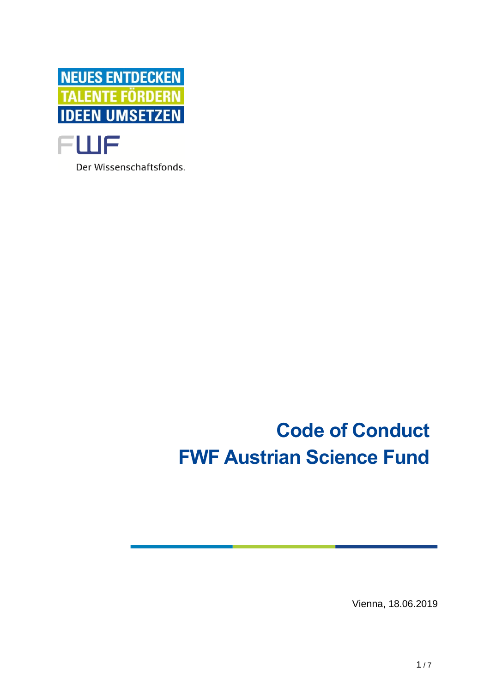

Der Wissenschaftsfonds.

# **Code of Conduct FWF Austrian Science Fund**

Vienna, 18.06.2019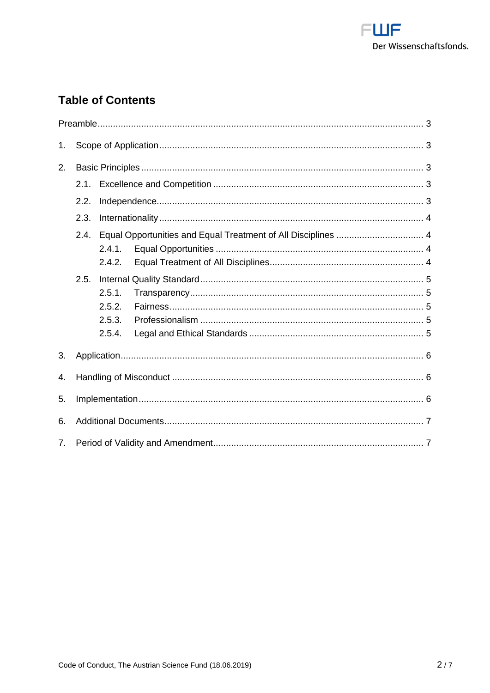

# **Table of Contents**

| 1.                             |      |                                      |  |  |
|--------------------------------|------|--------------------------------------|--|--|
| 2.                             |      |                                      |  |  |
|                                | 2.1. |                                      |  |  |
|                                | 2.2. |                                      |  |  |
|                                | 2.3. |                                      |  |  |
|                                | 2.4. | 2.4.1.<br>2.4.2.                     |  |  |
|                                | 2.5. | 2.5.1.<br>2.5.2.<br>2.5.3.<br>2.5.4. |  |  |
| 3.                             |      |                                      |  |  |
| 4.                             |      |                                      |  |  |
| 5.                             |      |                                      |  |  |
| 6.                             |      |                                      |  |  |
| $7_{\scriptscriptstyle{\sim}}$ |      |                                      |  |  |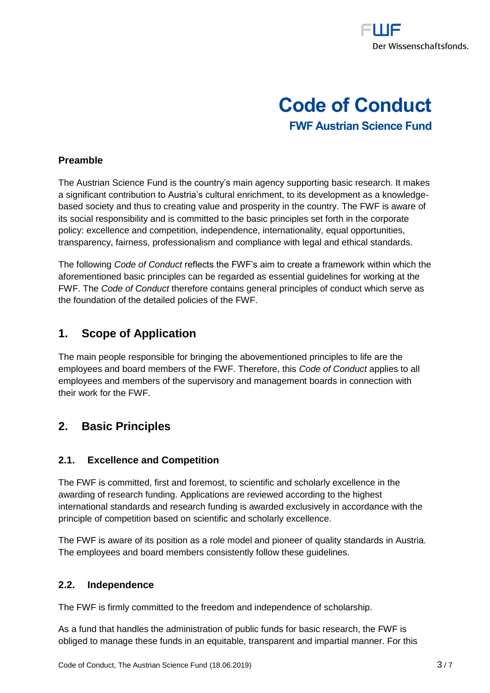

# **Code of Conduct FWF Austrian Science Fund**

#### <span id="page-2-0"></span>**Preamble**

The Austrian Science Fund is the country's main agency supporting basic research. It makes a significant contribution to Austria's cultural enrichment, to its development as a knowledgebased society and thus to creating value and prosperity in the country. The FWF is aware of its social responsibility and is committed to the basic principles set forth in the corporate policy: excellence and competition, independence, internationality, equal opportunities, transparency, fairness, professionalism and compliance with legal and ethical standards.

The following *Code of Conduct* reflects the FWF's aim to create a framework within which the aforementioned basic principles can be regarded as essential guidelines for working at the FWF. The *Code of Conduct* therefore contains general principles of conduct which serve as the foundation of the detailed policies of the FWF.

# <span id="page-2-1"></span>**1. Scope of Application**

The main people responsible for bringing the abovementioned principles to life are the employees and board members of the FWF. Therefore, this *Code of Conduct* applies to all employees and members of the supervisory and management boards in connection with their work for the FWF.

# <span id="page-2-2"></span>**2. Basic Principles**

#### <span id="page-2-3"></span>**2.1. Excellence and Competition**

The FWF is committed, first and foremost, to scientific and scholarly excellence in the awarding of research funding. Applications are reviewed according to the highest international standards and research funding is awarded exclusively in accordance with the principle of competition based on scientific and scholarly excellence.

The FWF is aware of its position as a role model and pioneer of quality standards in Austria. The employees and board members consistently follow these guidelines.

#### <span id="page-2-4"></span>**2.2. Independence**

The FWF is firmly committed to the freedom and independence of scholarship.

As a fund that handles the administration of public funds for basic research, the FWF is obliged to manage these funds in an equitable, transparent and impartial manner. For this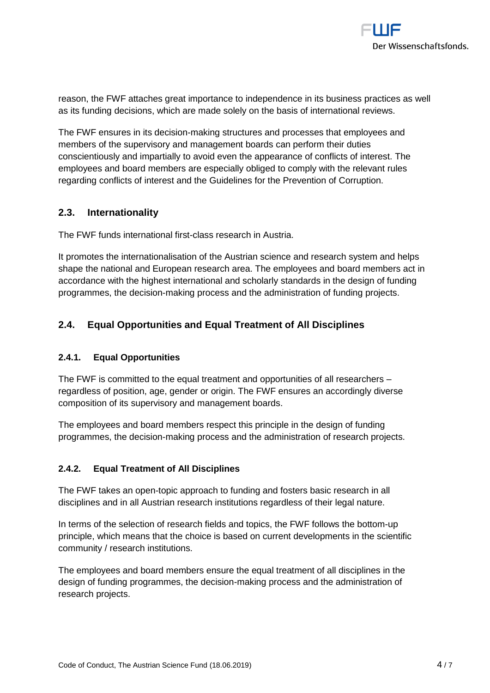reason, the FWF attaches great importance to independence in its business practices as well as its funding decisions, which are made solely on the basis of international reviews.

The FWF ensures in its decision-making structures and processes that employees and members of the supervisory and management boards can perform their duties conscientiously and impartially to avoid even the appearance of conflicts of interest. The employees and board members are especially obliged to comply with the relevant rules regarding conflicts of interest and the Guidelines for the Prevention of Corruption.

#### <span id="page-3-0"></span>**2.3. Internationality**

The FWF funds international first-class research in Austria.

It promotes the internationalisation of the Austrian science and research system and helps shape the national and European research area. The employees and board members act in accordance with the highest international and scholarly standards in the design of funding programmes, the decision-making process and the administration of funding projects.

# <span id="page-3-1"></span>**2.4. Equal Opportunities and Equal Treatment of All Disciplines**

#### <span id="page-3-2"></span>**2.4.1. Equal Opportunities**

The FWF is committed to the equal treatment and opportunities of all researchers – regardless of position, age, gender or origin. The FWF ensures an accordingly diverse composition of its supervisory and management boards.

The employees and board members respect this principle in the design of funding programmes, the decision-making process and the administration of research projects.

#### <span id="page-3-3"></span>**2.4.2. Equal Treatment of All Disciplines**

The FWF takes an open-topic approach to funding and fosters basic research in all disciplines and in all Austrian research institutions regardless of their legal nature.

In terms of the selection of research fields and topics, the FWF follows the bottom-up principle, which means that the choice is based on current developments in the scientific community / research institutions.

The employees and board members ensure the equal treatment of all disciplines in the design of funding programmes, the decision-making process and the administration of research projects.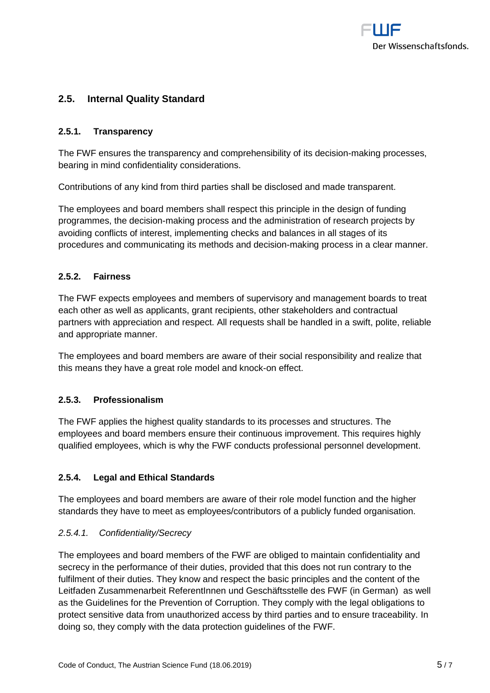

#### <span id="page-4-0"></span>**2.5. Internal Quality Standard**

#### <span id="page-4-1"></span>**2.5.1. Transparency**

The FWF ensures the transparency and comprehensibility of its decision-making processes, bearing in mind confidentiality considerations.

Contributions of any kind from third parties shall be disclosed and made transparent.

The employees and board members shall respect this principle in the design of funding programmes, the decision-making process and the administration of research projects by avoiding conflicts of interest, implementing checks and balances in all stages of its procedures and communicating its methods and decision-making process in a clear manner.

#### <span id="page-4-2"></span>**2.5.2. Fairness**

The FWF expects employees and members of supervisory and management boards to treat each other as well as applicants, grant recipients, other stakeholders and contractual partners with appreciation and respect. All requests shall be handled in a swift, polite, reliable and appropriate manner.

The employees and board members are aware of their social responsibility and realize that this means they have a great role model and knock-on effect.

#### <span id="page-4-3"></span>**2.5.3. Professionalism**

The FWF applies the highest quality standards to its processes and structures. The employees and board members ensure their continuous improvement. This requires highly qualified employees, which is why the FWF conducts professional personnel development.

#### <span id="page-4-4"></span>**2.5.4. Legal and Ethical Standards**

The employees and board members are aware of their role model function and the higher standards they have to meet as employees/contributors of a publicly funded organisation.

#### *2.5.4.1. Confidentiality/Secrecy*

The employees and board members of the FWF are obliged to maintain confidentiality and secrecy in the performance of their duties, provided that this does not run contrary to the fulfilment of their duties. They know and respect the basic principles and the content of the Leitfaden Zusammenarbeit ReferentInnen und Geschäftsstelle des FWF (in German) as well as the Guidelines for the Prevention of Corruption. They comply with the legal obligations to protect sensitive data from unauthorized access by third parties and to ensure traceability. In doing so, they comply with the data protection guidelines of the FWF.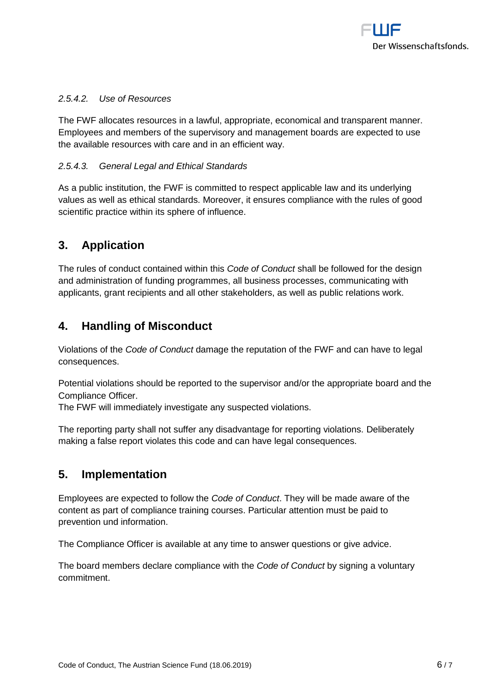

#### *2.5.4.2. Use of Resources*

The FWF allocates resources in a lawful, appropriate, economical and transparent manner. Employees and members of the supervisory and management boards are expected to use the available resources with care and in an efficient way.

#### *2.5.4.3. General Legal and Ethical Standards*

As a public institution, the FWF is committed to respect applicable law and its underlying values as well as ethical standards. Moreover, it ensures compliance with the rules of good scientific practice within its sphere of influence.

# <span id="page-5-0"></span>**3. Application**

The rules of conduct contained within this *Code of Conduct* shall be followed for the design and administration of funding programmes, all business processes, communicating with applicants, grant recipients and all other stakeholders, as well as public relations work.

## <span id="page-5-1"></span>**4. Handling of Misconduct**

Violations of the *Code of Conduct* damage the reputation of the FWF and can have to legal consequences.

Potential violations should be reported to the supervisor and/or the appropriate board and the Compliance Officer.

The FWF will immediately investigate any suspected violations.

The reporting party shall not suffer any disadvantage for reporting violations. Deliberately making a false report violates this code and can have legal consequences.

## <span id="page-5-2"></span>**5. Implementation**

Employees are expected to follow the *Code of Conduct*. They will be made aware of the content as part of compliance training courses. Particular attention must be paid to prevention und information.

The Compliance Officer is available at any time to answer questions or give advice.

The board members declare compliance with the *Code of Conduct* by signing a voluntary commitment.